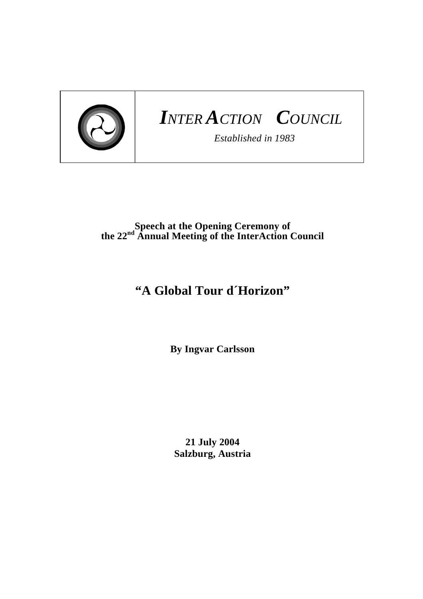

## *INTER ACTION COUNCIL*

*Established in 1983* 

## **Speech at the Opening Ceremony of the 22nd Annual Meeting of the InterAction Council**

## **"A Global Tour d´Horizon"**

**By Ingvar Carlsson** 

**21 July 2004 Salzburg, Austria**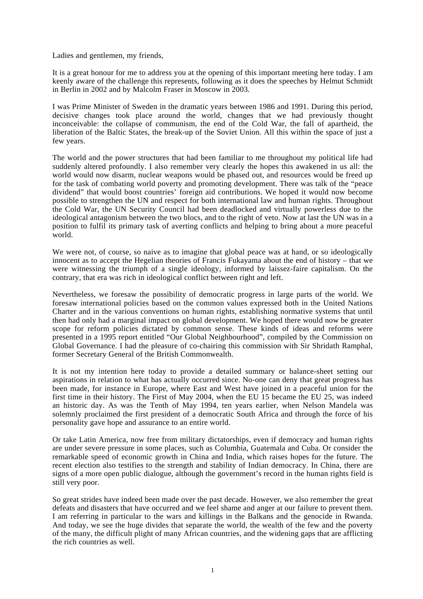Ladies and gentlemen, my friends,

It is a great honour for me to address you at the opening of this important meeting here today. I am keenly aware of the challenge this represents, following as it does the speeches by Helmut Schmidt in Berlin in 2002 and by Malcolm Fraser in Moscow in 2003.

I was Prime Minister of Sweden in the dramatic years between 1986 and 1991. During this period, decisive changes took place around the world, changes that we had previously thought inconceivable: the collapse of communism, the end of the Cold War, the fall of apartheid, the liberation of the Baltic States, the break-up of the Soviet Union. All this within the space of just a few years.

The world and the power structures that had been familiar to me throughout my political life had suddenly altered profoundly. I also remember very clearly the hopes this awakened in us all: the world would now disarm, nuclear weapons would be phased out, and resources would be freed up for the task of combating world poverty and promoting development. There was talk of the "peace dividend" that would boost countries' foreign aid contributions. We hoped it would now become possible to strengthen the UN and respect for both international law and human rights. Throughout the Cold War, the UN Security Council had been deadlocked and virtually powerless due to the ideological antagonism between the two blocs, and to the right of veto. Now at last the UN was in a position to fulfil its primary task of averting conflicts and helping to bring about a more peaceful world.

We were not, of course, so naive as to imagine that global peace was at hand, or so ideologically innocent as to accept the Hegelian theories of Francis Fukayama about the end of history – that we were witnessing the triumph of a single ideology, informed by laissez-faire capitalism. On the contrary, that era was rich in ideological conflict between right and left.

Nevertheless, we foresaw the possibility of democratic progress in large parts of the world. We foresaw international policies based on the common values expressed both in the United Nations Charter and in the various conventions on human rights, establishing normative systems that until then had only had a marginal impact on global development. We hoped there would now be greater scope for reform policies dictated by common sense. These kinds of ideas and reforms were presented in a 1995 report entitled "Our Global Neighbourhood", compiled by the Commission on Global Governance. I had the pleasure of co-chairing this commission with Sir Shridath Ramphal, former Secretary General of the British Commonwealth.

It is not my intention here today to provide a detailed summary or balance-sheet setting our aspirations in relation to what has actually occurred since. No-one can deny that great progress has been made, for instance in Europe, where East and West have joined in a peaceful union for the first time in their history. The First of May 2004, when the EU 15 became the EU 25, was indeed an historic day. As was the Tenth of May 1994, ten years earlier, when Nelson Mandela was solemnly proclaimed the first president of a democratic South Africa and through the force of his personality gave hope and assurance to an entire world.

Or take Latin America, now free from military dictatorships, even if democracy and human rights are under severe pressure in some places, such as Columbia, Guatemala and Cuba. Or consider the remarkable speed of economic growth in China and India, which raises hopes for the future. The recent election also testifies to the strength and stability of Indian democracy. In China, there are signs of a more open public dialogue, although the government's record in the human rights field is still very poor.

So great strides have indeed been made over the past decade. However, we also remember the great defeats and disasters that have occurred and we feel shame and anger at our failure to prevent them. I am referring in particular to the wars and killings in the Balkans and the genocide in Rwanda. And today, we see the huge divides that separate the world, the wealth of the few and the poverty of the many, the difficult plight of many African countries, and the widening gaps that are afflicting the rich countries as well.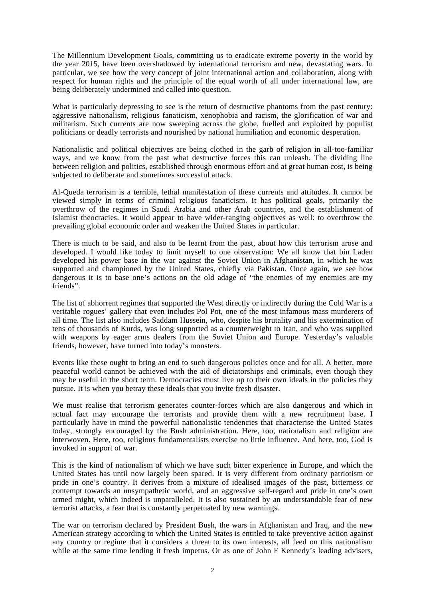The Millennium Development Goals, committing us to eradicate extreme poverty in the world by the year 2015, have been overshadowed by international terrorism and new, devastating wars. In particular, we see how the very concept of joint international action and collaboration, along with respect for human rights and the principle of the equal worth of all under international law, are being deliberately undermined and called into question.

What is particularly depressing to see is the return of destructive phantoms from the past century: aggressive nationalism, religious fanaticism, xenophobia and racism, the glorification of war and militarism. Such currents are now sweeping across the globe, fuelled and exploited by populist politicians or deadly terrorists and nourished by national humiliation and economic desperation.

Nationalistic and political objectives are being clothed in the garb of religion in all-too-familiar ways, and we know from the past what destructive forces this can unleash. The dividing line between religion and politics, established through enormous effort and at great human cost, is being subjected to deliberate and sometimes successful attack.

Al-Queda terrorism is a terrible, lethal manifestation of these currents and attitudes. It cannot be viewed simply in terms of criminal religious fanaticism. It has political goals, primarily the overthrow of the regimes in Saudi Arabia and other Arab countries, and the establishment of Islamist theocracies. It would appear to have wider-ranging objectives as well: to overthrow the prevailing global economic order and weaken the United States in particular.

There is much to be said, and also to be learnt from the past, about how this terrorism arose and developed. I would like today to limit myself to one observation: We all know that bin Laden developed his power base in the war against the Soviet Union in Afghanistan, in which he was supported and championed by the United States, chiefly via Pakistan. Once again, we see how dangerous it is to base one's actions on the old adage of "the enemies of my enemies are my friends".

The list of abhorrent regimes that supported the West directly or indirectly during the Cold War is a veritable rogues' gallery that even includes Pol Pot, one of the most infamous mass murderers of all time. The list also includes Saddam Hussein, who, despite his brutality and his extermination of tens of thousands of Kurds, was long supported as a counterweight to Iran, and who was supplied with weapons by eager arms dealers from the Soviet Union and Europe. Yesterday's valuable friends, however, have turned into today's monsters.

Events like these ought to bring an end to such dangerous policies once and for all. A better, more peaceful world cannot be achieved with the aid of dictatorships and criminals, even though they may be useful in the short term. Democracies must live up to their own ideals in the policies they pursue. It is when you betray these ideals that you invite fresh disaster.

We must realise that terrorism generates counter-forces which are also dangerous and which in actual fact may encourage the terrorists and provide them with a new recruitment base. I particularly have in mind the powerful nationalistic tendencies that characterise the United States today, strongly encouraged by the Bush administration. Here, too, nationalism and religion are interwoven. Here, too, religious fundamentalists exercise no little influence. And here, too, God is invoked in support of war.

This is the kind of nationalism of which we have such bitter experience in Europe, and which the United States has until now largely been spared. It is very different from ordinary patriotism or pride in one's country. It derives from a mixture of idealised images of the past, bitterness or contempt towards an unsympathetic world, and an aggressive self-regard and pride in one's own armed might, which indeed is unparalleled. It is also sustained by an understandable fear of new terrorist attacks, a fear that is constantly perpetuated by new warnings.

The war on terrorism declared by President Bush, the wars in Afghanistan and Iraq, and the new American strategy according to which the United States is entitled to take preventive action against any country or regime that it considers a threat to its own interests, all feed on this nationalism while at the same time lending it fresh impetus. Or as one of John F Kennedy's leading advisers,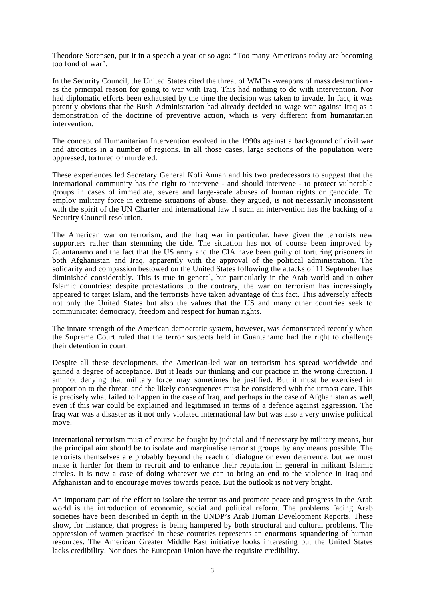Theodore Sorensen, put it in a speech a year or so ago: "Too many Americans today are becoming too fond of war".

In the Security Council, the United States cited the threat of WMDs -weapons of mass destruction as the principal reason for going to war with Iraq. This had nothing to do with intervention. Nor had diplomatic efforts been exhausted by the time the decision was taken to invade. In fact, it was patently obvious that the Bush Administration had already decided to wage war against Iraq as a demonstration of the doctrine of preventive action, which is very different from humanitarian intervention.

The concept of Humanitarian Intervention evolved in the 1990s against a background of civil war and atrocities in a number of regions. In all those cases, large sections of the population were oppressed, tortured or murdered.

These experiences led Secretary General Kofi Annan and his two predecessors to suggest that the international community has the right to intervene - and should intervene - to protect vulnerable groups in cases of immediate, severe and large-scale abuses of human rights or genocide. To employ military force in extreme situations of abuse, they argued, is not necessarily inconsistent with the spirit of the UN Charter and international law if such an intervention has the backing of a Security Council resolution.

The American war on terrorism, and the Iraq war in particular, have given the terrorists new supporters rather than stemming the tide. The situation has not of course been improved by Guantanamo and the fact that the US army and the CIA have been guilty of torturing prisoners in both Afghanistan and Iraq, apparently with the approval of the political administration. The solidarity and compassion bestowed on the United States following the attacks of 11 September has diminished considerably. This is true in general, but particularly in the Arab world and in other Islamic countries: despite protestations to the contrary, the war on terrorism has increasingly appeared to target Islam, and the terrorists have taken advantage of this fact. This adversely affects not only the United States but also the values that the US and many other countries seek to communicate: democracy, freedom and respect for human rights.

The innate strength of the American democratic system, however, was demonstrated recently when the Supreme Court ruled that the terror suspects held in Guantanamo had the right to challenge their detention in court.

Despite all these developments, the American-led war on terrorism has spread worldwide and gained a degree of acceptance. But it leads our thinking and our practice in the wrong direction. I am not denying that military force may sometimes be justified. But it must be exercised in proportion to the threat, and the likely consequences must be considered with the utmost care. This is precisely what failed to happen in the case of Iraq, and perhaps in the case of Afghanistan as well, even if this war could be explained and legitimised in terms of a defence against aggression. The Iraq war was a disaster as it not only violated international law but was also a very unwise political move.

International terrorism must of course be fought by judicial and if necessary by military means, but the principal aim should be to isolate and marginalise terrorist groups by any means possible. The terrorists themselves are probably beyond the reach of dialogue or even deterrence, but we must make it harder for them to recruit and to enhance their reputation in general in militant Islamic circles. It is now a case of doing whatever we can to bring an end to the violence in Iraq and Afghanistan and to encourage moves towards peace. But the outlook is not very bright.

An important part of the effort to isolate the terrorists and promote peace and progress in the Arab world is the introduction of economic, social and political reform. The problems facing Arab societies have been described in depth in the UNDP's Arab Human Development Reports. These show, for instance, that progress is being hampered by both structural and cultural problems. The oppression of women practised in these countries represents an enormous squandering of human resources. The American Greater Middle East initiative looks interesting but the United States lacks credibility. Nor does the European Union have the requisite credibility.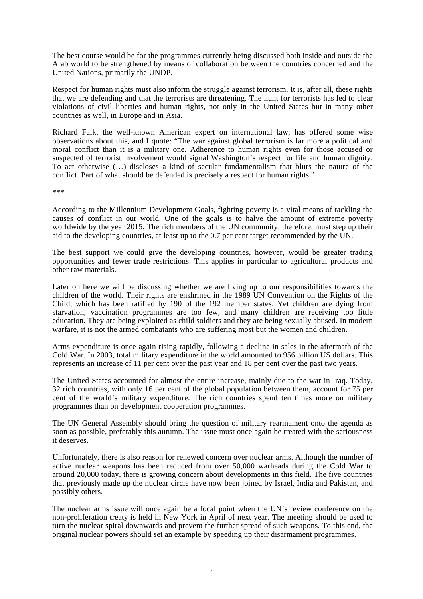The best course would be for the programmes currently being discussed both inside and outside the Arab world to be strengthened by means of collaboration between the countries concerned and the United Nations, primarily the UNDP.

Respect for human rights must also inform the struggle against terrorism. It is, after all, these rights that we are defending and that the terrorists are threatening. The hunt for terrorists has led to clear violations of civil liberties and human rights, not only in the United States but in many other countries as well, in Europe and in Asia.

Richard Falk, the well-known American expert on international law, has offered some wise observations about this, and I quote: "The war against global terrorism is far more a political and moral conflict than it is a military one. Adherence to human rights even for those accused or suspected of terrorist involvement would signal Washington's respect for life and human dignity. To act otherwise (…) discloses a kind of secular fundamentalism that blurs the nature of the conflict. Part of what should be defended is precisely a respect for human rights."

\*\*\*

According to the Millennium Development Goals, fighting poverty is a vital means of tackling the causes of conflict in our world. One of the goals is to halve the amount of extreme poverty worldwide by the year 2015. The rich members of the UN community, therefore, must step up their aid to the developing countries, at least up to the 0.7 per cent target recommended by the UN.

The best support we could give the developing countries, however, would be greater trading opportunities and fewer trade restrictions. This applies in particular to agricultural products and other raw materials.

Later on here we will be discussing whether we are living up to our responsibilities towards the children of the world. Their rights are enshrined in the 1989 UN Convention on the Rights of the Child, which has been ratified by 190 of the 192 member states. Yet children are dying from starvation, vaccination programmes are too few, and many children are receiving too little education. They are being exploited as child soldiers and they are being sexually abused. In modern warfare, it is not the armed combatants who are suffering most but the women and children.

Arms expenditure is once again rising rapidly, following a decline in sales in the aftermath of the Cold War. In 2003, total military expenditure in the world amounted to 956 billion US dollars. This represents an increase of 11 per cent over the past year and 18 per cent over the past two years.

The United States accounted for almost the entire increase, mainly due to the war in Iraq. Today, 32 rich countries, with only 16 per cent of the global population between them, account for 75 per cent of the world's military expenditure. The rich countries spend ten times more on military programmes than on development cooperation programmes.

The UN General Assembly should bring the question of military rearmament onto the agenda as soon as possible, preferably this autumn. The issue must once again be treated with the seriousness it deserves.

Unfortunately, there is also reason for renewed concern over nuclear arms. Although the number of active nuclear weapons has been reduced from over 50,000 warheads during the Cold War to around 20,000 today, there is growing concern about developments in this field. The five countries that previously made up the nuclear circle have now been joined by Israel, India and Pakistan, and possibly others.

The nuclear arms issue will once again be a focal point when the UN's review conference on the non-proliferation treaty is held in New York in April of next year. The meeting should be used to turn the nuclear spiral downwards and prevent the further spread of such weapons. To this end, the original nuclear powers should set an example by speeding up their disarmament programmes.